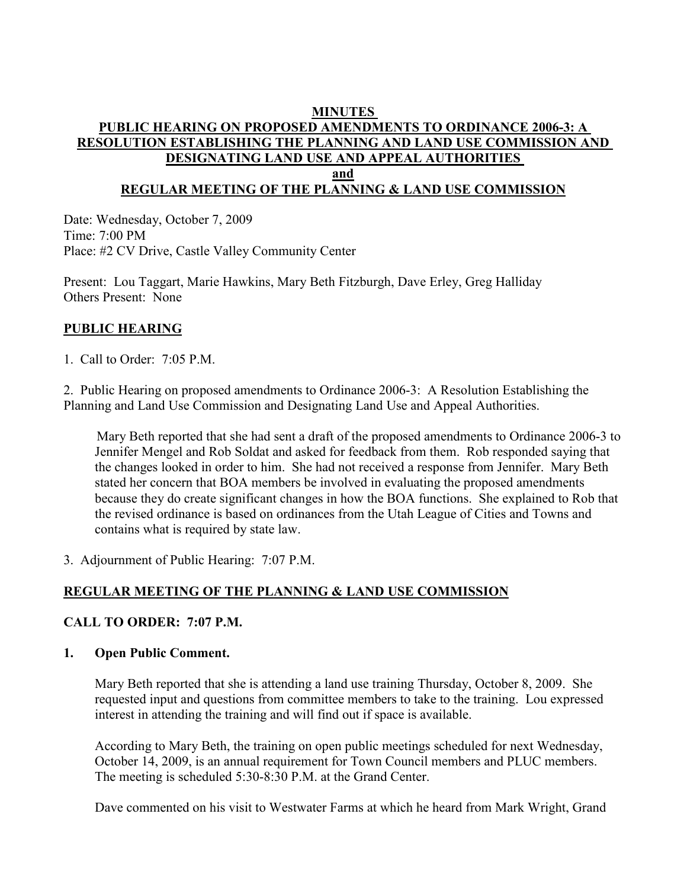# **MINUTES PUBLIC HEARING ON PROPOSED AMENDMENTS TO ORDINANCE 2006-3: A RESOLUTION ESTABLISHING THE PLANNING AND LAND USE COMMISSION AND DESIGNATING LAND USE AND APPEAL AUTHORITIES and**

# **REGULAR MEETING OF THE PLANNING & LAND USE COMMISSION**

Date: Wednesday, October 7, 2009 Time: 7:00 PM Place: #2 CV Drive, Castle Valley Community Center

Present: Lou Taggart, Marie Hawkins, Mary Beth Fitzburgh, Dave Erley, Greg Halliday Others Present: None

# **PUBLIC HEARING**

1. Call to Order: 7:05 P.M.

2. Public Hearing on proposed amendments to Ordinance 2006-3: A Resolution Establishing the Planning and Land Use Commission and Designating Land Use and Appeal Authorities.

 Mary Beth reported that she had sent a draft of the proposed amendments to Ordinance 2006-3 to Jennifer Mengel and Rob Soldat and asked for feedback from them. Rob responded saying that the changes looked in order to him. She had not received a response from Jennifer. Mary Beth stated her concern that BOA members be involved in evaluating the proposed amendments because they do create significant changes in how the BOA functions. She explained to Rob that the revised ordinance is based on ordinances from the Utah League of Cities and Towns and contains what is required by state law.

3. Adjournment of Public Hearing: 7:07 P.M.

# **REGULAR MEETING OF THE PLANNING & LAND USE COMMISSION**

# **CALL TO ORDER: 7:07 P.M.**

# **1. Open Public Comment.**

 Mary Beth reported that she is attending a land use training Thursday, October 8, 2009. She requested input and questions from committee members to take to the training. Lou expressed interest in attending the training and will find out if space is available.

According to Mary Beth, the training on open public meetings scheduled for next Wednesday, October 14, 2009, is an annual requirement for Town Council members and PLUC members. The meeting is scheduled 5:30-8:30 P.M. at the Grand Center.

Dave commented on his visit to Westwater Farms at which he heard from Mark Wright, Grand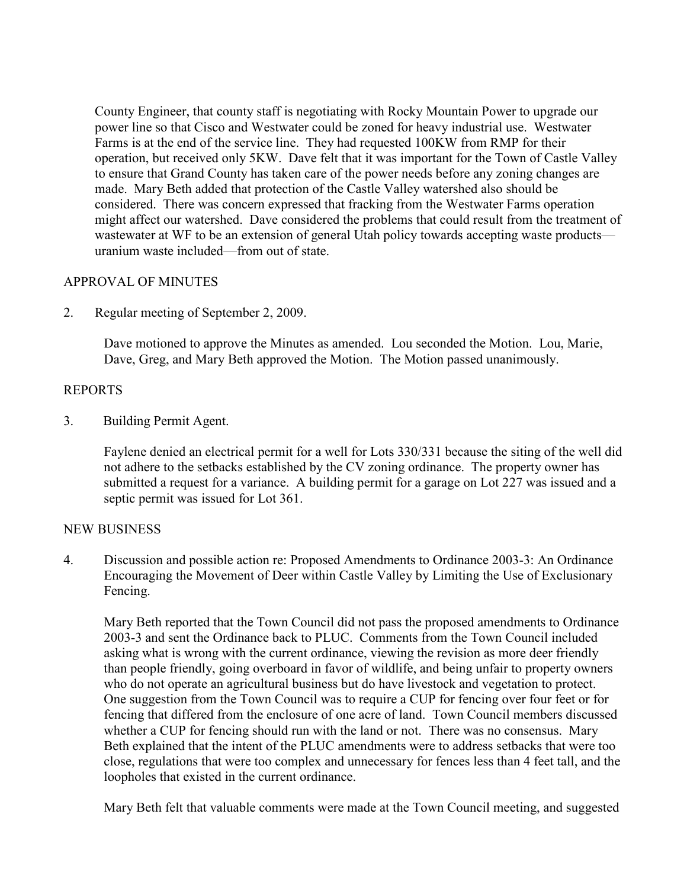County Engineer, that county staff is negotiating with Rocky Mountain Power to upgrade our power line so that Cisco and Westwater could be zoned for heavy industrial use. Westwater Farms is at the end of the service line. They had requested 100KW from RMP for their operation, but received only 5KW. Dave felt that it was important for the Town of Castle Valley to ensure that Grand County has taken care of the power needs before any zoning changes are made. Mary Beth added that protection of the Castle Valley watershed also should be considered. There was concern expressed that fracking from the Westwater Farms operation might affect our watershed. Dave considered the problems that could result from the treatment of wastewater at WF to be an extension of general Utah policy towards accepting waste products uranium waste included—from out of state.

# APPROVAL OF MINUTES

2. Regular meeting of September 2, 2009.

Dave motioned to approve the Minutes as amended. Lou seconded the Motion. Lou, Marie, Dave, Greg, and Mary Beth approved the Motion. The Motion passed unanimously.

# REPORTS

3. Building Permit Agent.

Faylene denied an electrical permit for a well for Lots 330/331 because the siting of the well did not adhere to the setbacks established by the CV zoning ordinance. The property owner has submitted a request for a variance. A building permit for a garage on Lot 227 was issued and a septic permit was issued for Lot 361.

# NEW BUSINESS

4. Discussion and possible action re: Proposed Amendments to Ordinance 2003-3: An Ordinance Encouraging the Movement of Deer within Castle Valley by Limiting the Use of Exclusionary Fencing.

Mary Beth reported that the Town Council did not pass the proposed amendments to Ordinance 2003-3 and sent the Ordinance back to PLUC. Comments from the Town Council included asking what is wrong with the current ordinance, viewing the revision as more deer friendly than people friendly, going overboard in favor of wildlife, and being unfair to property owners who do not operate an agricultural business but do have livestock and vegetation to protect. One suggestion from the Town Council was to require a CUP for fencing over four feet or for fencing that differed from the enclosure of one acre of land. Town Council members discussed whether a CUP for fencing should run with the land or not. There was no consensus. Mary Beth explained that the intent of the PLUC amendments were to address setbacks that were too close, regulations that were too complex and unnecessary for fences less than 4 feet tall, and the loopholes that existed in the current ordinance.

Mary Beth felt that valuable comments were made at the Town Council meeting, and suggested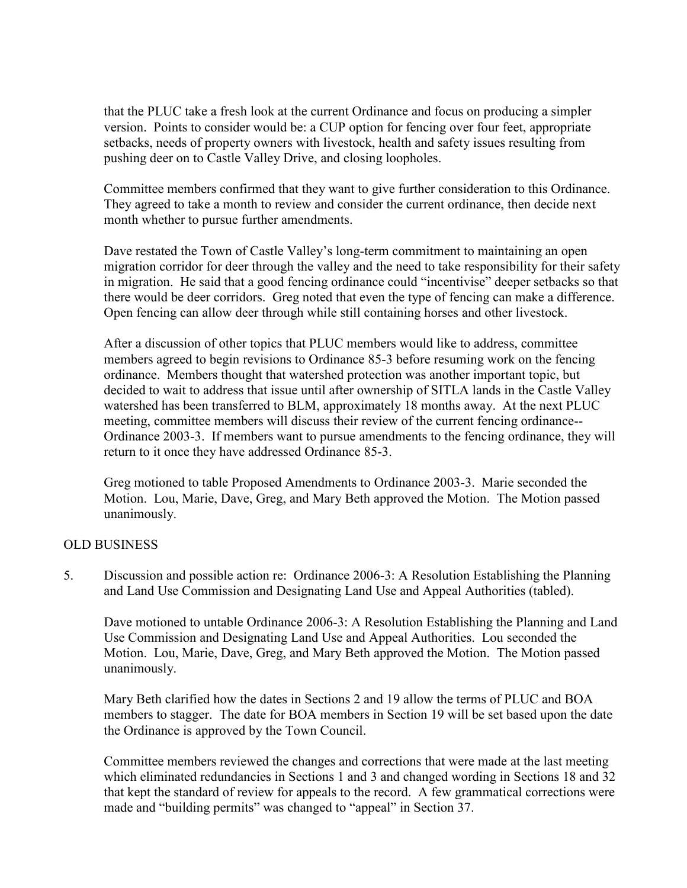that the PLUC take a fresh look at the current Ordinance and focus on producing a simpler version. Points to consider would be: a CUP option for fencing over four feet, appropriate setbacks, needs of property owners with livestock, health and safety issues resulting from pushing deer on to Castle Valley Drive, and closing loopholes.

Committee members confirmed that they want to give further consideration to this Ordinance. They agreed to take a month to review and consider the current ordinance, then decide next month whether to pursue further amendments.

Dave restated the Town of Castle Valley's long-term commitment to maintaining an open migration corridor for deer through the valley and the need to take responsibility for their safety in migration. He said that a good fencing ordinance could "incentivise" deeper setbacks so that there would be deer corridors. Greg noted that even the type of fencing can make a difference. Open fencing can allow deer through while still containing horses and other livestock.

After a discussion of other topics that PLUC members would like to address, committee members agreed to begin revisions to Ordinance 85-3 before resuming work on the fencing ordinance. Members thought that watershed protection was another important topic, but decided to wait to address that issue until after ownership of SITLA lands in the Castle Valley watershed has been transferred to BLM, approximately 18 months away. At the next PLUC meeting, committee members will discuss their review of the current fencing ordinance-- Ordinance 2003-3. If members want to pursue amendments to the fencing ordinance, they will return to it once they have addressed Ordinance 85-3.

Greg motioned to table Proposed Amendments to Ordinance 2003-3. Marie seconded the Motion. Lou, Marie, Dave, Greg, and Mary Beth approved the Motion. The Motion passed unanimously.

# OLD BUSINESS

5. Discussion and possible action re: Ordinance 2006-3: A Resolution Establishing the Planning and Land Use Commission and Designating Land Use and Appeal Authorities (tabled).

Dave motioned to untable Ordinance 2006-3: A Resolution Establishing the Planning and Land Use Commission and Designating Land Use and Appeal Authorities. Lou seconded the Motion. Lou, Marie, Dave, Greg, and Mary Beth approved the Motion. The Motion passed unanimously.

Mary Beth clarified how the dates in Sections 2 and 19 allow the terms of PLUC and BOA members to stagger. The date for BOA members in Section 19 will be set based upon the date the Ordinance is approved by the Town Council.

Committee members reviewed the changes and corrections that were made at the last meeting which eliminated redundancies in Sections 1 and 3 and changed wording in Sections 18 and 32 that kept the standard of review for appeals to the record. A few grammatical corrections were made and "building permits" was changed to "appeal" in Section 37.